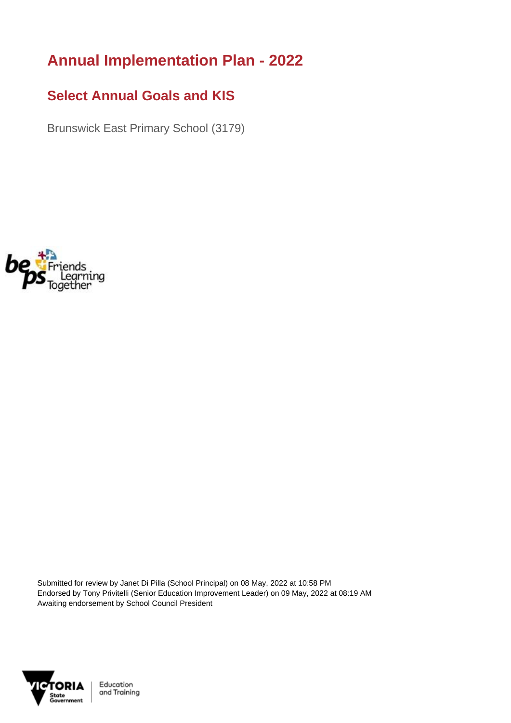## **Annual Implementation Plan - 2022**

## **Select Annual Goals and KIS**

Brunswick East Primary School (3179)



Submitted for review by Janet Di Pilla (School Principal) on 08 May, 2022 at 10:58 PM Endorsed by Tony Privitelli (Senior Education Improvement Leader) on 09 May, 2022 at 08:19 AM Awaiting endorsement by School Council President



Education and Training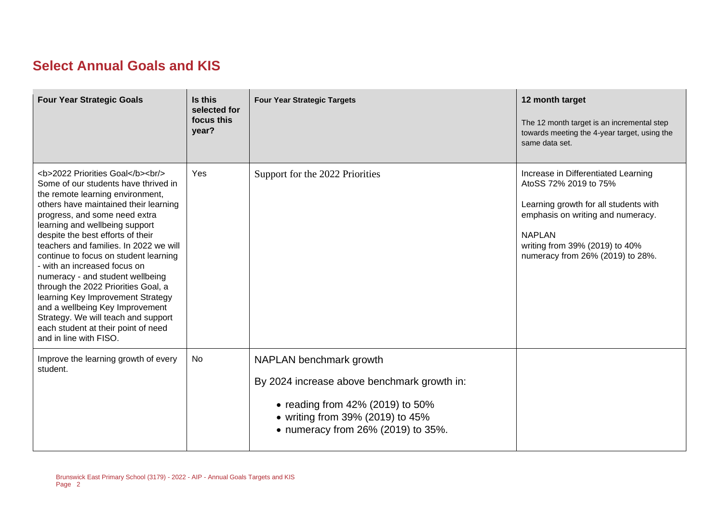## **Select Annual Goals and KIS**

| <b>Four Year Strategic Goals</b>                                                                                                                                                              | Is this<br>selected for<br>focus this<br>year? | <b>Four Year Strategic Targets</b>                                                                                                                                                      | 12 month target<br>The 12 month target is an incremental step<br>towards meeting the 4-year target, using the<br>same data set.                                                                                                   |
|-----------------------------------------------------------------------------------------------------------------------------------------------------------------------------------------------|------------------------------------------------|-----------------------------------------------------------------------------------------------------------------------------------------------------------------------------------------|-----------------------------------------------------------------------------------------------------------------------------------------------------------------------------------------------------------------------------------|
| <b>2022 Priorities Goal</b><br><br><br>Some of our students have thrived in<br>the remote learning environment,<br>others have maintained their learning<br>progress, and some need extra<br> | Yes                                            | Support for the 2022 Priorities                                                                                                                                                         | Increase in Differentiated Learning<br>AtoSS 72% 2019 to 75%<br>Learning growth for all students with<br>emphasis on writing and numeracy.<br><b>NAPLAN</b><br>writing from 39% (2019) to 40%<br>numeracy from 26% (2019) to 28%. |
| Improve the learning growth of every<br>student.                                                                                                                                              | No                                             | NAPLAN benchmark growth<br>By 2024 increase above benchmark growth in:<br>• reading from $42\%$ (2019) to 50%<br>• writing from 39% (2019) to 45%<br>• numeracy from 26% (2019) to 35%. |                                                                                                                                                                                                                                   |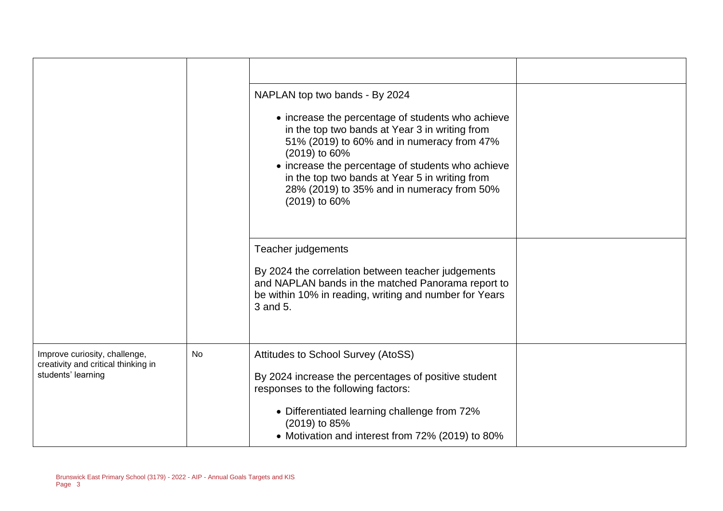|                                                                                            |    | NAPLAN top two bands - By 2024<br>• increase the percentage of students who achieve<br>in the top two bands at Year 3 in writing from<br>51% (2019) to 60% and in numeracy from 47%<br>(2019) to 60%<br>• increase the percentage of students who achieve<br>in the top two bands at Year 5 in writing from<br>28% (2019) to 35% and in numeracy from 50%<br>(2019) to 60% |  |
|--------------------------------------------------------------------------------------------|----|----------------------------------------------------------------------------------------------------------------------------------------------------------------------------------------------------------------------------------------------------------------------------------------------------------------------------------------------------------------------------|--|
|                                                                                            |    | Teacher judgements<br>By 2024 the correlation between teacher judgements<br>and NAPLAN bands in the matched Panorama report to<br>be within 10% in reading, writing and number for Years<br>3 and 5.                                                                                                                                                                       |  |
| Improve curiosity, challenge,<br>creativity and critical thinking in<br>students' learning | No | Attitudes to School Survey (AtoSS)<br>By 2024 increase the percentages of positive student<br>responses to the following factors:<br>• Differentiated learning challenge from 72%<br>(2019) to 85%<br>• Motivation and interest from 72% (2019) to 80%                                                                                                                     |  |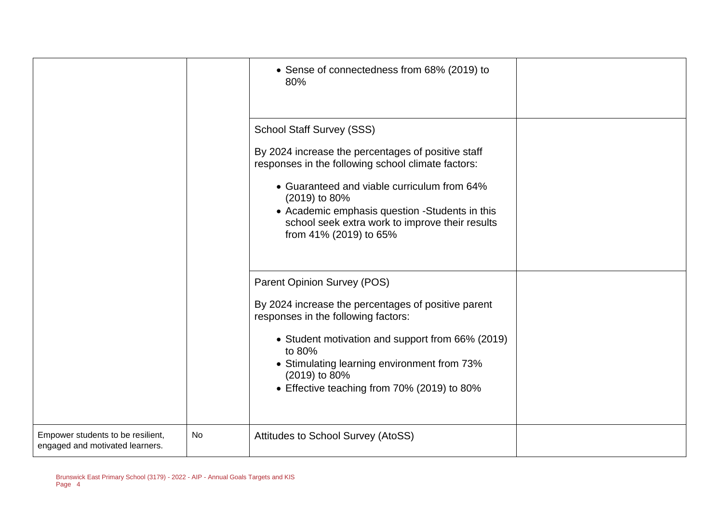|                                                                      |                                                                                                                                                                                                                                                                                                                                             | • Sense of connectedness from 68% (2019) to<br>80%                                                                                                                                                                                                                                                     |  |
|----------------------------------------------------------------------|---------------------------------------------------------------------------------------------------------------------------------------------------------------------------------------------------------------------------------------------------------------------------------------------------------------------------------------------|--------------------------------------------------------------------------------------------------------------------------------------------------------------------------------------------------------------------------------------------------------------------------------------------------------|--|
|                                                                      | <b>School Staff Survey (SSS)</b><br>By 2024 increase the percentages of positive staff<br>responses in the following school climate factors:<br>• Guaranteed and viable curriculum from 64%<br>(2019) to 80%<br>• Academic emphasis question -Students in this<br>school seek extra work to improve their results<br>from 41% (2019) to 65% |                                                                                                                                                                                                                                                                                                        |  |
|                                                                      |                                                                                                                                                                                                                                                                                                                                             | Parent Opinion Survey (POS)<br>By 2024 increase the percentages of positive parent<br>responses in the following factors:<br>• Student motivation and support from 66% (2019)<br>to 80%<br>• Stimulating learning environment from 73%<br>(2019) to 80%<br>• Effective teaching from 70% (2019) to 80% |  |
| Empower students to be resilient,<br>engaged and motivated learners. | <b>No</b>                                                                                                                                                                                                                                                                                                                                   | Attitudes to School Survey (AtoSS)                                                                                                                                                                                                                                                                     |  |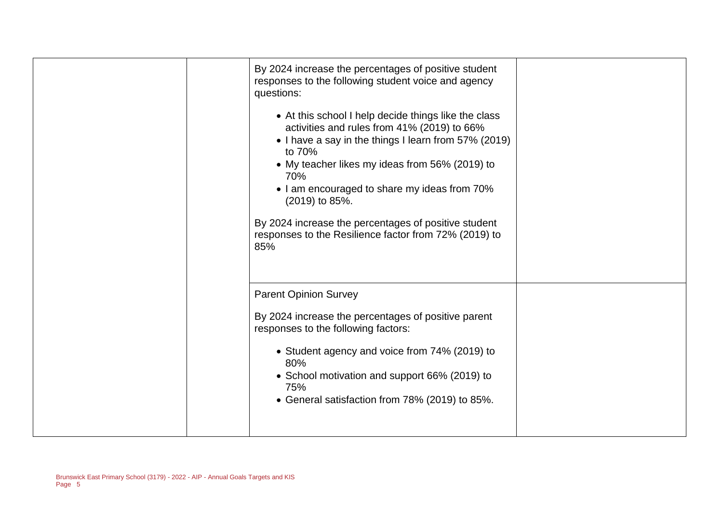| By 2024 increase the percentages of positive student<br>responses to the following student voice and agency<br>questions:<br>• At this school I help decide things like the class<br>activities and rules from 41% (2019) to 66%<br>• I have a say in the things I learn from 57% (2019)<br>to 70%<br>• My teacher likes my ideas from 56% (2019) to<br>70%<br>• I am encouraged to share my ideas from 70%<br>(2019) to 85%.<br>By 2024 increase the percentages of positive student<br>responses to the Resilience factor from 72% (2019) to<br>85% |  |
|-------------------------------------------------------------------------------------------------------------------------------------------------------------------------------------------------------------------------------------------------------------------------------------------------------------------------------------------------------------------------------------------------------------------------------------------------------------------------------------------------------------------------------------------------------|--|
| <b>Parent Opinion Survey</b><br>By 2024 increase the percentages of positive parent<br>responses to the following factors:<br>• Student agency and voice from 74% (2019) to<br>80%<br>• School motivation and support 66% (2019) to<br>75%<br>• General satisfaction from 78% (2019) to 85%.                                                                                                                                                                                                                                                          |  |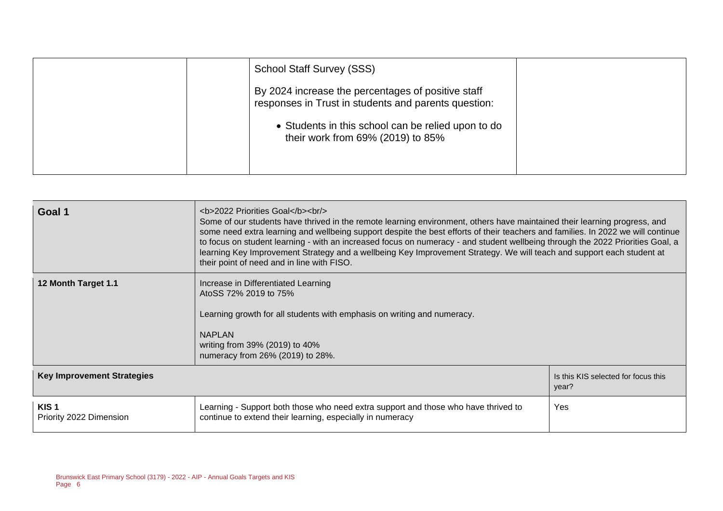| <b>School Staff Survey (SSS)</b>                                                                           |  |
|------------------------------------------------------------------------------------------------------------|--|
| By 2024 increase the percentages of positive staff<br>responses in Trust in students and parents question: |  |
| • Students in this school can be relied upon to do<br>their work from 69% (2019) to 85%                    |  |
|                                                                                                            |  |

| Goal 1                                      | <b>2022 Priorities Goal</b><br><br><br>Some of our students have thrived in the remote learning environment, others have maintained their learning progress, and<br>some need extra learning and wellbeing support despite the best efforts of their teachers and families. In 2022 we will continue<br>to focus on student learning - with an increased focus on numeracy - and student wellbeing through the 2022 Priorities Goal, a<br>learning Key Improvement Strategy and a wellbeing Key Improvement Strategy. We will teach and support each student at<br>their point of need and in line with FISO. |                                              |  |
|---------------------------------------------|---------------------------------------------------------------------------------------------------------------------------------------------------------------------------------------------------------------------------------------------------------------------------------------------------------------------------------------------------------------------------------------------------------------------------------------------------------------------------------------------------------------------------------------------------------------------------------------------------------------|----------------------------------------------|--|
| 12 Month Target 1.1                         | Increase in Differentiated Learning<br>AtoSS 72% 2019 to 75%<br>Learning growth for all students with emphasis on writing and numeracy.<br><b>NAPLAN</b><br>writing from 39% (2019) to 40%<br>numeracy from 26% (2019) to 28%.                                                                                                                                                                                                                                                                                                                                                                                |                                              |  |
| <b>Key Improvement Strategies</b>           |                                                                                                                                                                                                                                                                                                                                                                                                                                                                                                                                                                                                               | Is this KIS selected for focus this<br>year? |  |
| KIS <sub>1</sub><br>Priority 2022 Dimension | Learning - Support both those who need extra support and those who have thrived to<br>continue to extend their learning, especially in numeracy                                                                                                                                                                                                                                                                                                                                                                                                                                                               | Yes                                          |  |